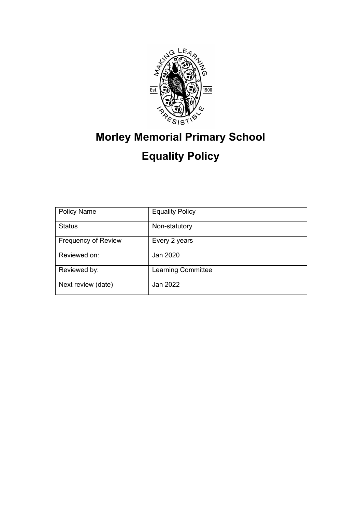

# **Morley Memorial Primary School Equality Policy**

| <b>Policy Name</b>         | <b>Equality Policy</b>    |
|----------------------------|---------------------------|
| <b>Status</b>              | Non-statutory             |
| <b>Frequency of Review</b> | Every 2 years             |
| Reviewed on:               | Jan 2020                  |
| Reviewed by:               | <b>Learning Committee</b> |
| Next review (date)         | Jan 2022                  |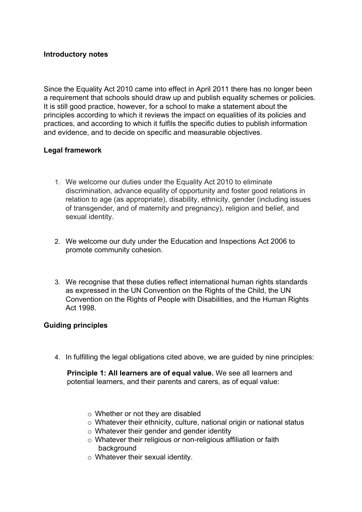## **Introductory notes**

Since the Equality Act 2010 came into effect in April 2011 there has no longer been a requirement that schools should draw up and publish equality schemes or policies. It is still good practice, however, for a school to make a statement about the principles according to which it reviews the impact on equalities of its policies and practices, and according to which it fulfils the specific duties to publish information and evidence, and to decide on specific and measurable objectives.

## **Legal framework**

- 1. We welcome our duties under the Equality Act 2010 to eliminate discrimination, advance equality of opportunity and foster good relations in relation to age (as appropriate), disability, ethnicity, gender (including issues of transgender, and of maternity and pregnancy), religion and belief, and sexual identity.
- 2. We welcome our duty under the Education and Inspections Act 2006 to promote community cohesion.
- 3. We recognise that these duties reflect international human rights standards as expressed in the UN Convention on the Rights of the Child, the UN Convention on the Rights of People with Disabilities, and the Human Rights Act 1998.

### **Guiding principles**

4. In fulfilling the legal obligations cited above, we are guided by nine principles:

**Principle 1: All learners are of equal value.** We see all learners and potential learners, and their parents and carers, as of equal value:

- o Whether or not they are disabled
- o Whatever their ethnicity, culture, national origin or national status
- o Whatever their gender and gender identity
- o Whatever their religious or non-religious affiliation or faith background
- o Whatever their sexual identity.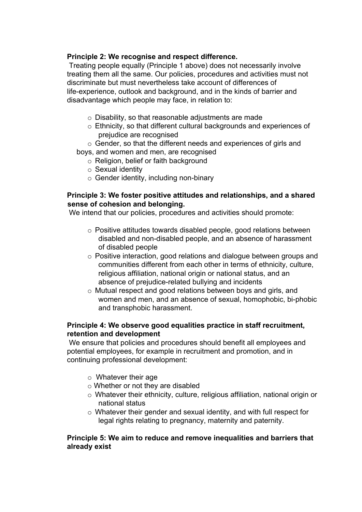## **Principle 2: We recognise and respect difference.**

Treating people equally (Principle 1 above) does not necessarily involve treating them all the same. Our policies, procedures and activities must not discriminate but must nevertheless take account of differences of life-experience, outlook and background, and in the kinds of barrier and disadvantage which people may face, in relation to:

- o Disability, so that reasonable adjustments are made
- o Ethnicity, so that different cultural backgrounds and experiences of prejudice are recognised
- o Gender, so that the different needs and experiences of girls and

boys, and women and men, are recognised

- o Religion, belief or faith background
- o Sexual identity
- o Gender identity, including non-binary

## **Principle 3: We foster positive attitudes and relationships, and a shared sense of cohesion and belonging.**

We intend that our policies, procedures and activities should promote:

- o Positive attitudes towards disabled people, good relations between disabled and non-disabled people, and an absence of harassment of disabled people
- o Positive interaction, good relations and dialogue between groups and communities different from each other in terms of ethnicity, culture, religious affiliation, national origin or national status, and an absence of prejudice-related bullying and incidents
- o Mutual respect and good relations between boys and girls, and women and men, and an absence of sexual, homophobic, bi-phobic and transphobic harassment.

## **Principle 4: We observe good equalities practice in staff recruitment, retention and development**

We ensure that policies and procedures should benefit all employees and potential employees, for example in recruitment and promotion, and in continuing professional development:

- o Whatever their age
- o Whether or not they are disabled
- o Whatever their ethnicity, culture, religious affiliation, national origin or national status
- o Whatever their gender and sexual identity, and with full respect for legal rights relating to pregnancy, maternity and paternity.

## **Principle 5: We aim to reduce and remove inequalities and barriers that already exist**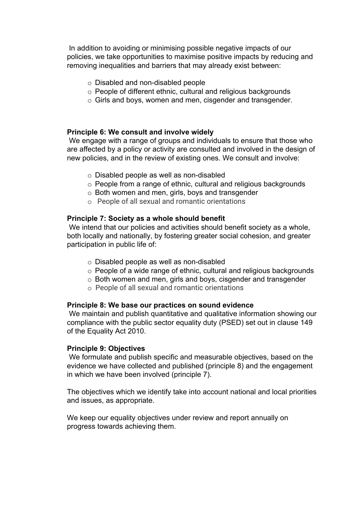In addition to avoiding or minimising possible negative impacts of our policies, we take opportunities to maximise positive impacts by reducing and removing inequalities and barriers that may already exist between:

- o Disabled and non-disabled people
- o People of different ethnic, cultural and religious backgrounds
- o Girls and boys, women and men, cisgender and transgender.

### **Principle 6: We consult and involve widely**

We engage with a range of groups and individuals to ensure that those who are affected by a policy or activity are consulted and involved in the design of new policies, and in the review of existing ones. We consult and involve:

- o Disabled people as well as non-disabled
- o People from a range of ethnic, cultural and religious backgrounds
- o Both women and men, girls, boys and transgender
- o People of all sexual and romantic orientations

## **Principle 7: Society as a whole should benefit**

We intend that our policies and activities should benefit society as a whole, both locally and nationally, by fostering greater social cohesion, and greater participation in public life of:

- o Disabled people as well as non-disabled
- o People of a wide range of ethnic, cultural and religious backgrounds
- o Both women and men, girls and boys, cisgender and transgender
- o People of all sexual and romantic orientations

### **Principle 8: We base our practices on sound evidence**

We maintain and publish quantitative and qualitative information showing our compliance with the public sector equality duty (PSED) set out in clause 149 of the Equality Act 2010.

### **Principle 9: Objectives**

We formulate and publish specific and measurable objectives, based on the evidence we have collected and published (principle 8) and the engagement in which we have been involved (principle 7).

The objectives which we identify take into account national and local priorities and issues, as appropriate.

We keep our equality objectives under review and report annually on progress towards achieving them.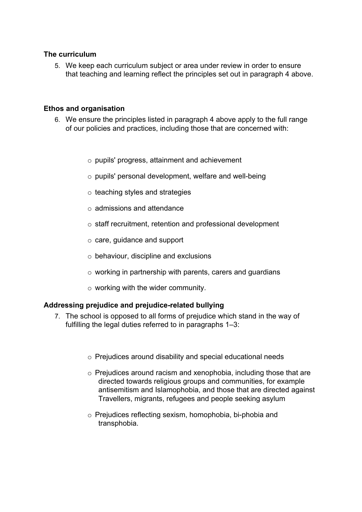### **The curriculum**

5. We keep each curriculum subject or area under review in order to ensure that teaching and learning reflect the principles set out in paragraph 4 above.

### **Ethos and organisation**

- 6. We ensure the principles listed in paragraph 4 above apply to the full range of our policies and practices, including those that are concerned with:
	- o pupils' progress, attainment and achievement
	- o pupils' personal development, welfare and well-being
	- $\circ$  teaching styles and strategies
	- o admissions and attendance
	- o staff recruitment, retention and professional development
	- o care, guidance and support
	- $\circ$  behaviour, discipline and exclusions
	- o working in partnership with parents, carers and guardians
	- $\circ$  working with the wider community.

### **Addressing prejudice and prejudice-related bullying**

- 7. The school is opposed to all forms of prejudice which stand in the way of fulfilling the legal duties referred to in paragraphs 1–3:
	- o Prejudices around disability and special educational needs
	- o Prejudices around racism and xenophobia, including those that are directed towards religious groups and communities, for example antisemitism and Islamophobia, and those that are directed against Travellers, migrants, refugees and people seeking asylum
	- o Prejudices reflecting sexism, homophobia, bi-phobia and transphobia.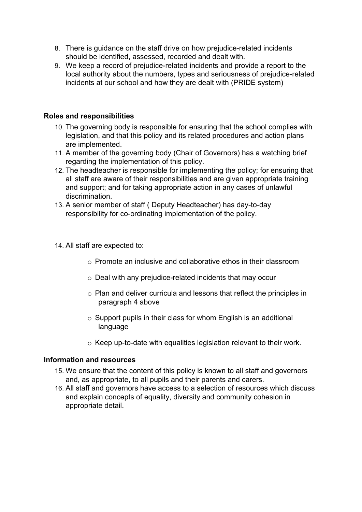- 8. There is guidance on the staff drive on how prejudice-related incidents should be identified, assessed, recorded and dealt with.
- 9. We keep a record of prejudice-related incidents and provide a report to the local authority about the numbers, types and seriousness of prejudice-related incidents at our school and how they are dealt with (PRIDE system)

## **Roles and responsibilities**

- 10. The governing body is responsible for ensuring that the school complies with legislation, and that this policy and its related procedures and action plans are implemented.
- 11. A member of the governing body (Chair of Governors) has a watching brief regarding the implementation of this policy.
- 12. The headteacher is responsible for implementing the policy; for ensuring that all staff are aware of their responsibilities and are given appropriate training and support; and for taking appropriate action in any cases of unlawful discrimination.
- 13. A senior member of staff ( Deputy Headteacher) has day-to-day responsibility for co-ordinating implementation of the policy.
- 14. All staff are expected to:
	- o Promote an inclusive and collaborative ethos in their classroom
	- o Deal with any prejudice-related incidents that may occur
	- o Plan and deliver curricula and lessons that reflect the principles in paragraph 4 above
	- $\circ$  Support pupils in their class for whom English is an additional language
	- o Keep up-to-date with equalities legislation relevant to their work.

### **Information and resources**

- 15. We ensure that the content of this policy is known to all staff and governors and, as appropriate, to all pupils and their parents and carers.
- 16. All staff and governors have access to a selection of resources which discuss and explain concepts of equality, diversity and community cohesion in appropriate detail.